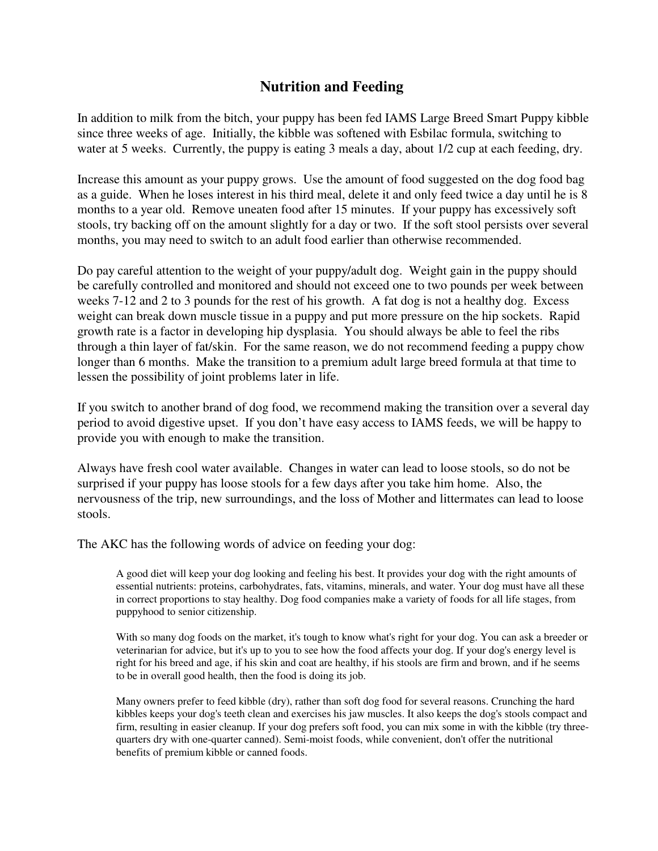## **Nutrition and Feeding**

In addition to milk from the bitch, your puppy has been fed IAMS Large Breed Smart Puppy kibble since three weeks of age. Initially, the kibble was softened with Esbilac formula, switching to water at 5 weeks. Currently, the puppy is eating 3 meals a day, about  $1/2$  cup at each feeding, dry.

Increase this amount as your puppy grows. Use the amount of food suggested on the dog food bag as a guide. When he loses interest in his third meal, delete it and only feed twice a day until he is 8 months to a year old. Remove uneaten food after 15 minutes. If your puppy has excessively soft stools, try backing off on the amount slightly for a day or two. If the soft stool persists over several months, you may need to switch to an adult food earlier than otherwise recommended.

Do pay careful attention to the weight of your puppy/adult dog. Weight gain in the puppy should be carefully controlled and monitored and should not exceed one to two pounds per week between weeks 7-12 and 2 to 3 pounds for the rest of his growth. A fat dog is not a healthy dog. Excess weight can break down muscle tissue in a puppy and put more pressure on the hip sockets. Rapid growth rate is a factor in developing hip dysplasia. You should always be able to feel the ribs through a thin layer of fat/skin. For the same reason, we do not recommend feeding a puppy chow longer than 6 months. Make the transition to a premium adult large breed formula at that time to lessen the possibility of joint problems later in life.

If you switch to another brand of dog food, we recommend making the transition over a several day period to avoid digestive upset. If you don't have easy access to IAMS feeds, we will be happy to provide you with enough to make the transition.

Always have fresh cool water available. Changes in water can lead to loose stools, so do not be surprised if your puppy has loose stools for a few days after you take him home. Also, the nervousness of the trip, new surroundings, and the loss of Mother and littermates can lead to loose stools.

The AKC has the following words of advice on feeding your dog:

A good diet will keep your dog looking and feeling his best. It provides your dog with the right amounts of essential nutrients: proteins, carbohydrates, fats, vitamins, minerals, and water. Your dog must have all these in correct proportions to stay healthy. Dog food companies make a variety of foods for all life stages, from puppyhood to senior citizenship.

With so many dog foods on the market, it's tough to know what's right for your dog. You can ask a breeder or veterinarian for advice, but it's up to you to see how the food affects your dog. If your dog's energy level is right for his breed and age, if his skin and coat are healthy, if his stools are firm and brown, and if he seems to be in overall good health, then the food is doing its job.

Many owners prefer to feed kibble (dry), rather than soft dog food for several reasons. Crunching the hard kibbles keeps your dog's teeth clean and exercises his jaw muscles. It also keeps the dog's stools compact and firm, resulting in easier cleanup. If your dog prefers soft food, you can mix some in with the kibble (try threequarters dry with one-quarter canned). Semi-moist foods, while convenient, don't offer the nutritional benefits of premium kibble or canned foods.